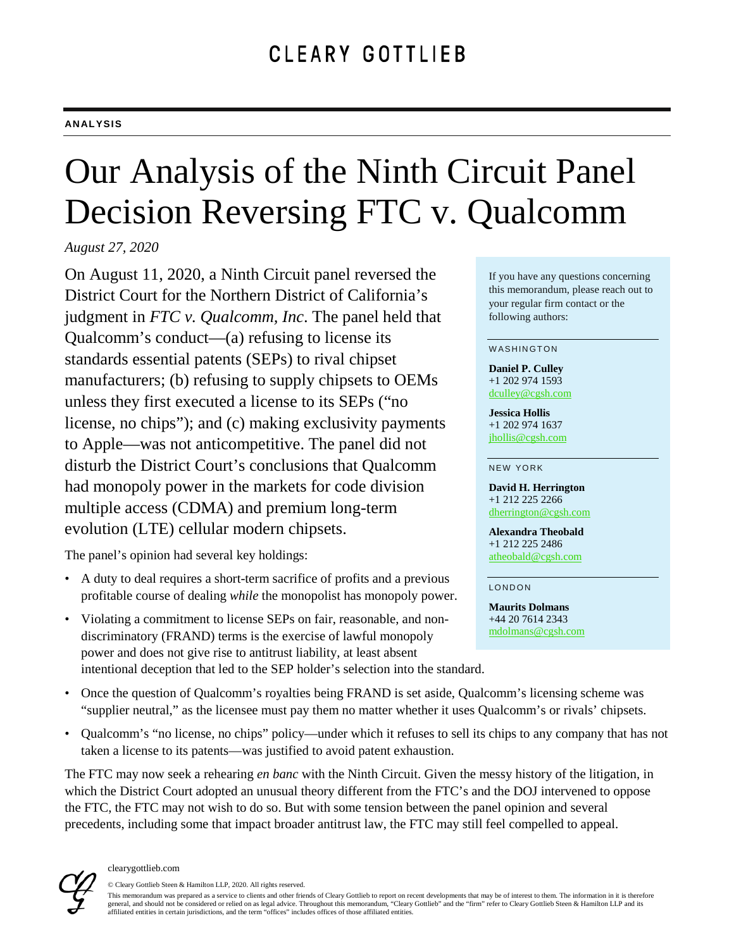# Our Analysis of the Ninth Circuit Panel Decision Reversing FTC v. Qualcomm

*August 27, 2020*

On August 11, 2020, a Ninth Circuit panel reversed the District Court for the Northern District of California's judgment in *FTC v. Qualcomm, Inc*. The panel held that Qualcomm's conduct—(a) refusing to license its standards essential patents (SEPs) to rival chipset manufacturers; (b) refusing to supply chipsets to OEMs unless they first executed a license to its SEPs ("no license, no chips"); and (c) making exclusivity payments to Apple—was not anticompetitive. The panel did not disturb the District Court's conclusions that Qualcomm had monopoly power in the markets for code division multiple access (CDMA) and premium long-term evolution (LTE) cellular modern chipsets.

The panel's opinion had several key holdings:

- A duty to deal requires a short-term sacrifice of profits and a previous profitable course of dealing *while* the monopolist has monopoly power.
- Violating a commitment to license SEPs on fair, reasonable, and nondiscriminatory (FRAND) terms is the exercise of lawful monopoly power and does not give rise to antitrust liability, at least absent intentional deception that led to the SEP holder's selection into the standard.

If you have any questions concerning this memorandum, please reach out to your regular firm contact or the following authors:

#### WASHINGTON

**Daniel P. Culley** +1 202 974 1593 [dculley@cgsh.com](mailto:dculley@cgsh.com)

**Jessica Hollis** +1 202 974 1637 [jhollis@cgsh.com](mailto:jhollis@cgsh.com)

NEW YORK

**David H. Herrington** +1 212 225 2266 [dherrington@cgsh.com](mailto:dherrington@cgsh.com)

**Alexandra Theobald** +1 212 225 2486 [atheobald@cgsh.com](mailto:atheobald@cgsh.com)

LONDON

**Maurits Dolmans** +44 20 7614 2343 [mdolmans@cgsh.com](mailto:mdolmans@cgsh.com)

- Once the question of Qualcomm's royalties being FRAND is set aside, Qualcomm's licensing scheme was "supplier neutral," as the licensee must pay them no matter whether it uses Qualcomm's or rivals' chipsets.
- Qualcomm's "no license, no chips" policy—under which it refuses to sell its chips to any company that has not taken a license to its patents—was justified to avoid patent exhaustion.

The FTC may now seek a rehearing *en banc* with the Ninth Circuit. Given the messy history of the litigation, in which the District Court adopted an unusual theory different from the FTC's and the DOJ intervened to oppose the FTC, the FTC may not wish to do so. But with some tension between the panel opinion and several precedents, including some that impact broader antitrust law, the FTC may still feel compelled to appeal.



© Cleary Gottlieb Steen & Hamilton LLP, 2020. All rights reserved. This memorandum was prepared as a service to clients and other friends of Cleary Gottlieb to report on recent developments that may be of interest to them. The information in it is therefore general, and should not be considered or relied on as legal advice. Throughout this memorandum, "Cleary Gottlieb" and the "firm" refer to Cleary Gottlieb Steen & Hamilton LLP and its affiliated entities in certain jurisdictions, and the term "offices" includes offices of those affiliated entities.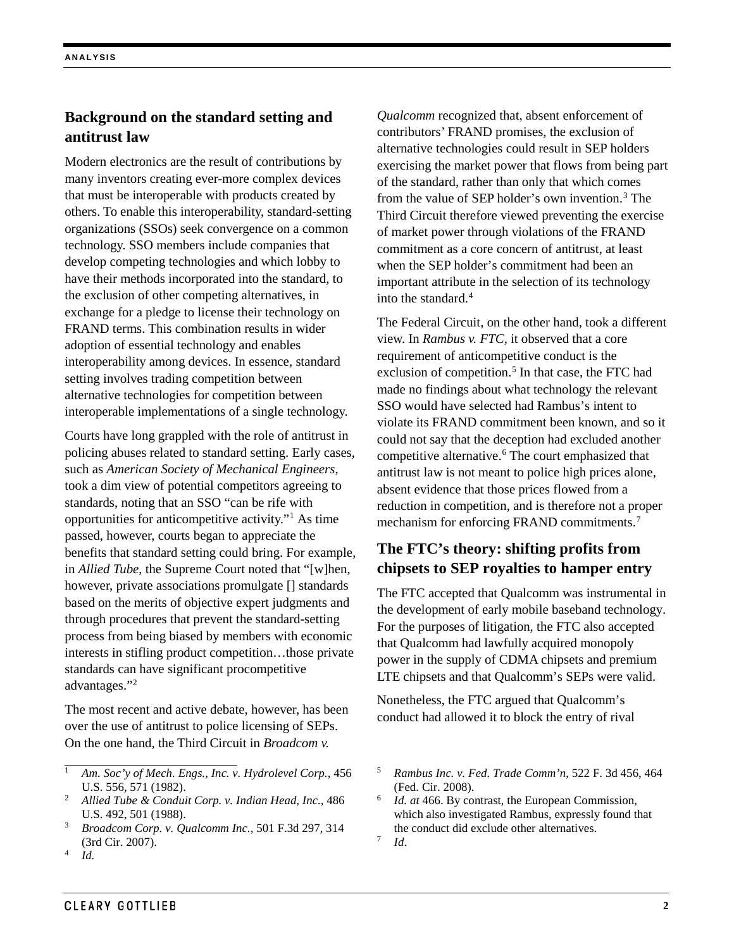## **Background on the standard setting and antitrust law**

Modern electronics are the result of contributions by many inventors creating ever-more complex devices that must be interoperable with products created by others. To enable this interoperability, standard-setting organizations (SSOs) seek convergence on a common technology. SSO members include companies that develop competing technologies and which lobby to have their methods incorporated into the standard, to the exclusion of other competing alternatives, in exchange for a pledge to license their technology on FRAND terms. This combination results in wider adoption of essential technology and enables interoperability among devices. In essence, standard setting involves trading competition between alternative technologies for competition between interoperable implementations of a single technology.

Courts have long grappled with the role of antitrust in policing abuses related to standard setting. Early cases, such as *American Society of Mechanical Engineers*, took a dim view of potential competitors agreeing to standards, noting that an SSO "can be rife with opportunities for anticompetitive activity."[1](#page-1-0) As time passed, however, courts began to appreciate the benefits that standard setting could bring. For example, in *Allied Tube*, the Supreme Court noted that "[w]hen, however, private associations promulgate [] standards based on the merits of objective expert judgments and through procedures that prevent the standard-setting process from being biased by members with economic interests in stifling product competition…those private standards can have significant procompetitive advantages."[2](#page-1-1)

The most recent and active debate, however, has been over the use of antitrust to police licensing of SEPs. On the one hand, the Third Circuit in *Broadcom v.* 

*Qualcomm* recognized that, absent enforcement of contributors' FRAND promises, the exclusion of alternative technologies could result in SEP holders exercising the market power that flows from being part of the standard, rather than only that which comes from the value of SEP holder's own invention. [3](#page-1-2) The Third Circuit therefore viewed preventing the exercise of market power through violations of the FRAND commitment as a core concern of antitrust, at least when the SEP holder's commitment had been an important attribute in the selection of its technology into the standard.<sup>[4](#page-1-3)</sup>

The Federal Circuit, on the other hand, took a different view. In *Rambus v. FTC*, it observed that a core requirement of anticompetitive conduct is the exclusion of competition. [5](#page-1-0) In that case, the FTC had made no findings about what technology the relevant SSO would have selected had Rambus's intent to violate its FRAND commitment been known, and so it could not say that the deception had excluded another competitive alternative. [6](#page-1-1) The court emphasized that antitrust law is not meant to police high prices alone, absent evidence that those prices flowed from a reduction in competition, and is therefore not a proper mechanism for enforcing FRAND commitments.<sup>[7](#page-1-4)</sup>

## **The FTC's theory: shifting profits from chipsets to SEP royalties to hamper entry**

The FTC accepted that Qualcomm was instrumental in the development of early mobile baseband technology. For the purposes of litigation, the FTC also accepted that Qualcomm had lawfully acquired monopoly power in the supply of CDMA chipsets and premium LTE chipsets and that Qualcomm's SEPs were valid.

Nonetheless, the FTC argued that Qualcomm's conduct had allowed it to block the entry of rival

<span id="page-1-0"></span><sup>1</sup> *Am. Soc'y of Mech. Engs., Inc. v. Hydrolevel Corp.*, 456 U.S. 556, 571 (1982).

<span id="page-1-1"></span><sup>2</sup> *Allied Tube & Conduit Corp. v. Indian Head, Inc.*, 486 U.S. 492, 501 (1988).

<span id="page-1-4"></span><span id="page-1-2"></span><sup>3</sup> *Broadcom Corp. v. Qualcomm Inc.*, 501 F.3d 297, 314 (3rd Cir. 2007).

<span id="page-1-3"></span><sup>4</sup> *Id.*

<sup>5</sup> *Rambus Inc. v. Fed. Trade Comm'n*, 522 F. 3d 456, 464 (Fed. Cir. 2008).

<sup>6</sup> *Id. at* 466. By contrast, the European Commission, which also investigated Rambus, expressly found that the conduct did exclude other alternatives.  $^7$  *Id.*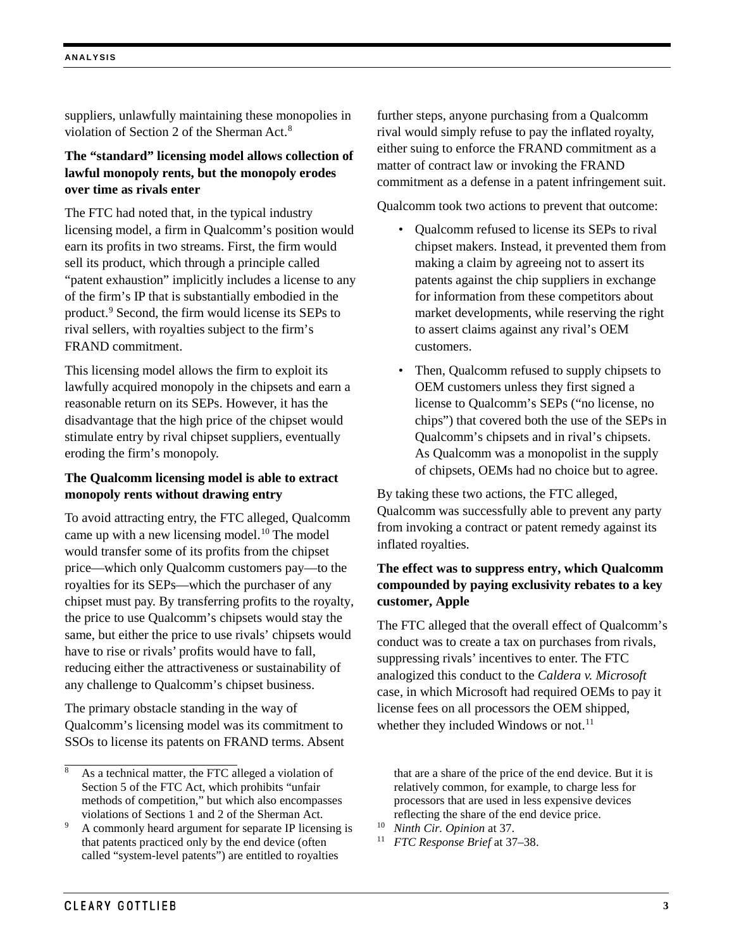suppliers, unlawfully maintaining these monopolies in violation of Section 2 of the Sherman Act.[8](#page-2-0)

## **The "standard" licensing model allows collection of lawful monopoly rents, but the monopoly erodes over time as rivals enter**

The FTC had noted that, in the typical industry licensing model, a firm in Qualcomm's position would earn its profits in two streams. First, the firm would sell its product, which through a principle called "patent exhaustion" implicitly includes a license to any of the firm's IP that is substantially embodied in the product.[9](#page-2-1) Second, the firm would license its SEPs to rival sellers, with royalties subject to the firm's FRAND commitment.

This licensing model allows the firm to exploit its lawfully acquired monopoly in the chipsets and earn a reasonable return on its SEPs. However, it has the disadvantage that the high price of the chipset would stimulate entry by rival chipset suppliers, eventually eroding the firm's monopoly.

## **The Qualcomm licensing model is able to extract monopoly rents without drawing entry**

To avoid attracting entry, the FTC alleged, Qualcomm came up with a new licensing model.[10](#page-2-1) The model would transfer some of its profits from the chipset price—which only Qualcomm customers pay—to the royalties for its SEPs—which the purchaser of any chipset must pay. By transferring profits to the royalty, the price to use Qualcomm's chipsets would stay the same, but either the price to use rivals' chipsets would have to rise or rivals' profits would have to fall, reducing either the attractiveness or sustainability of any challenge to Qualcomm's chipset business.

The primary obstacle standing in the way of Qualcomm's licensing model was its commitment to SSOs to license its patents on FRAND terms. Absent further steps, anyone purchasing from a Qualcomm rival would simply refuse to pay the inflated royalty, either suing to enforce the FRAND commitment as a matter of contract law or invoking the FRAND commitment as a defense in a patent infringement suit.

Qualcomm took two actions to prevent that outcome:

- Qualcomm refused to license its SEPs to rival chipset makers. Instead, it prevented them from making a claim by agreeing not to assert its patents against the chip suppliers in exchange for information from these competitors about market developments, while reserving the right to assert claims against any rival's OEM customers.
- Then, Qualcomm refused to supply chipsets to OEM customers unless they first signed a license to Qualcomm's SEPs ("no license, no chips") that covered both the use of the SEPs in Qualcomm's chipsets and in rival's chipsets. As Qualcomm was a monopolist in the supply of chipsets, OEMs had no choice but to agree.

By taking these two actions, the FTC alleged, Qualcomm was successfully able to prevent any party from invoking a contract or patent remedy against its inflated royalties.

## **The effect was to suppress entry, which Qualcomm compounded by paying exclusivity rebates to a key customer, Apple**

The FTC alleged that the overall effect of Qualcomm's conduct was to create a tax on purchases from rivals, suppressing rivals' incentives to enter. The FTC analogized this conduct to the *Caldera v. Microsoft* case, in which Microsoft had required OEMs to pay it license fees on all processors the OEM shipped, whether they included Windows or not.<sup>[11](#page-2-2)</sup>

that are a share of the price of the end device. But it is relatively common, for example, to charge less for processors that are used in less expensive devices reflecting the share of the end device price.

- <sup>10</sup> *Ninth Cir. Opinion* at 37.
- <sup>11</sup> *FTC Response Brief* at 37–38.

<span id="page-2-0"></span>As a technical matter, the FTC alleged a violation of Section 5 of the FTC Act, which prohibits "unfair methods of competition," but which also encompasses violations of Sections 1 and 2 of the Sherman Act.

<span id="page-2-2"></span><span id="page-2-1"></span><sup>9</sup> A commonly heard argument for separate IP licensing is that patents practiced only by the end device (often called "system-level patents") are entitled to royalties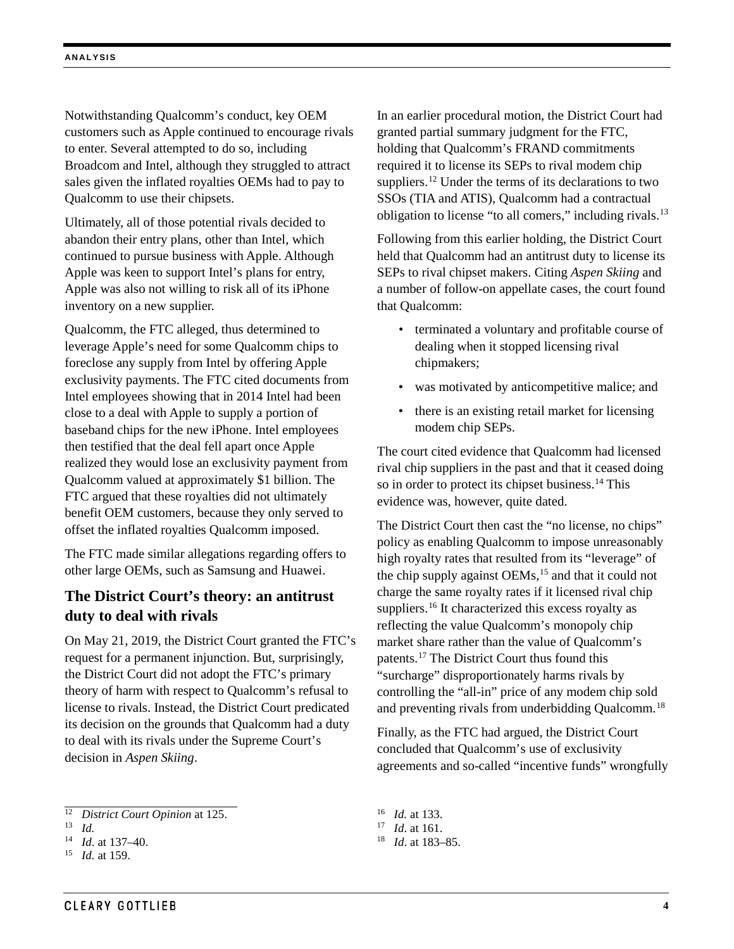Notwithstanding Qualcomm's conduct, key OEM customers such as Apple continued to encourage rivals to enter. Several attempted to do so, including Broadcom and Intel, although they struggled to attract sales given the inflated royalties OEMs had to pay to Qualcomm to use their chipsets.

Ultimately, all of those potential rivals decided to abandon their entry plans, other than Intel, which continued to pursue business with Apple. Although Apple was keen to support Intel's plans for entry, Apple was also not willing to risk all of its iPhone inventory on a new supplier.

Qualcomm, the FTC alleged, thus determined to leverage Apple's need for some Qualcomm chips to foreclose any supply from Intel by offering Apple exclusivity payments. The FTC cited documents from Intel employees showing that in 2014 Intel had been close to a deal with Apple to supply a portion of baseband chips for the new iPhone. Intel employees then testified that the deal fell apart once Apple realized they would lose an exclusivity payment from Qualcomm valued at approximately \$1 billion. The FTC argued that these royalties did not ultimately benefit OEM customers, because they only served to offset the inflated royalties Qualcomm imposed.

The FTC made similar allegations regarding offers to other large OEMs, such as Samsung and Huawei.

## **The District Court's theory: an antitrust duty to deal with rivals**

On May 21, 2019, the District Court granted the FTC's request for a permanent injunction. But, surprisingly, the District Court did not adopt the FTC's primary theory of harm with respect to Qualcomm's refusal to license to rivals. Instead, the District Court predicated its decision on the grounds that Qualcomm had a duty to deal with its rivals under the Supreme Court's decision in *Aspen Skiing*.

In an earlier procedural motion, the District Court had granted partial summary judgment for the FTC, holding that Qualcomm's FRAND commitments required it to license its SEPs to rival modem chip suppliers.<sup>[12](#page-3-0)</sup> Under the terms of its declarations to two SSOs (TIA and ATIS), Qualcomm had a contractual obligation to license "to all comers," including rivals.<sup>[13](#page-3-1)</sup>

Following from this earlier holding, the District Court held that Qualcomm had an antitrust duty to license its SEPs to rival chipset makers. Citing *Aspen Skiing* and a number of follow-on appellate cases, the court found that Qualcomm:

- terminated a voluntary and profitable course of dealing when it stopped licensing rival chipmakers;
- was motivated by anticompetitive malice; and
- there is an existing retail market for licensing modem chip SEPs.

The court cited evidence that Qualcomm had licensed rival chip suppliers in the past and that it ceased doing so in order to protect its chipset business.<sup>[14](#page-3-2)</sup> This evidence was, however, quite dated.

The District Court then cast the "no license, no chips" policy as enabling Qualcomm to impose unreasonably high royalty rates that resulted from its "leverage" of the chip supply against OEMs,<sup>15</sup> and that it could not charge the same royalty rates if it licensed rival chip suppliers.<sup>[16](#page-3-0)</sup> It characterized this excess royalty as reflecting the value Qualcomm's monopoly chip market share rather than the value of Qualcomm's patents.[17](#page-3-1) The District Court thus found this "surcharge" disproportionately harms rivals by controlling the "all-in" price of any modem chip sold and preventing rivals from underbidding Qualcomm.<sup>[18](#page-3-2)</sup>

Finally, as the FTC had argued, the District Court concluded that Qualcomm's use of exclusivity agreements and so-called "incentive funds" wrongfully

<span id="page-3-0"></span> <sup>12</sup> *District Court Opinion* at 125.

<span id="page-3-1"></span><sup>13</sup> *Id.*

<span id="page-3-2"></span><sup>14</sup> *Id*. at 137–40.

<span id="page-3-3"></span><sup>15</sup> *Id.* at 159.

<sup>16</sup> *Id.* at 133.

<sup>17</sup> *Id*. at 161.

<sup>18</sup> *Id*. at 183–85.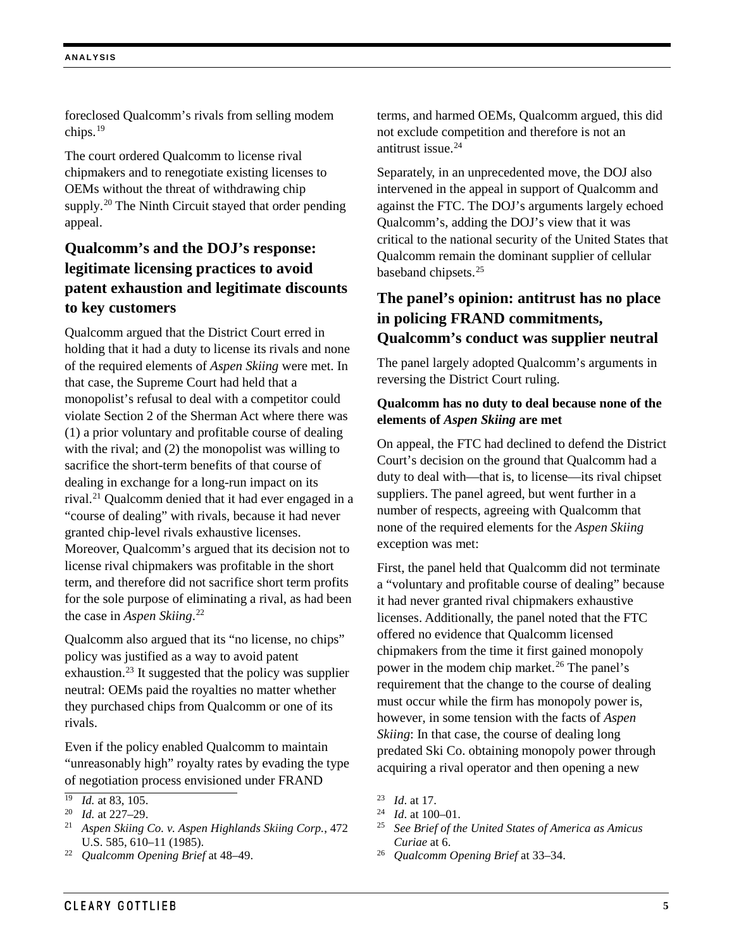foreclosed Qualcomm's rivals from selling modem chips.[19](#page-4-0)

The court ordered Qualcomm to license rival chipmakers and to renegotiate existing licenses to OEMs without the threat of withdrawing chip supply.<sup>[20](#page-4-1)</sup> The Ninth Circuit stayed that order pending appeal.

## **Qualcomm's and the DOJ's response: legitimate licensing practices to avoid patent exhaustion and legitimate discounts to key customers**

Qualcomm argued that the District Court erred in holding that it had a duty to license its rivals and none of the required elements of *Aspen Skiing* were met. In that case, the Supreme Court had held that a monopolist's refusal to deal with a competitor could violate Section 2 of the Sherman Act where there was (1) a prior voluntary and profitable course of dealing with the rival; and (2) the monopolist was willing to sacrifice the short-term benefits of that course of dealing in exchange for a long-run impact on its rival. [21](#page-4-2) Qualcomm denied that it had ever engaged in a "course of dealing" with rivals, because it had never granted chip-level rivals exhaustive licenses. Moreover, Qualcomm's argued that its decision not to license rival chipmakers was profitable in the short term, and therefore did not sacrifice short term profits for the sole purpose of eliminating a rival, as had been the case in *Aspen Skiing*. [22](#page-4-3)

Qualcomm also argued that its "no license, no chips" policy was justified as a way to avoid patent exhaustion.<sup>[23](#page-4-0)</sup> It suggested that the policy was supplier neutral: OEMs paid the royalties no matter whether they purchased chips from Qualcomm or one of its rivals.

Even if the policy enabled Qualcomm to maintain "unreasonably high" royalty rates by evading the type of negotiation process envisioned under FRAND

terms, and harmed OEMs, Qualcomm argued, this did not exclude competition and therefore is not an antitrust issue.[24](#page-4-1)

Separately, in an unprecedented move, the DOJ also intervened in the appeal in support of Qualcomm and against the FTC. The DOJ's arguments largely echoed Qualcomm's, adding the DOJ's view that it was critical to the national security of the United States that Qualcomm remain the dominant supplier of cellular baseband chipsets.[25](#page-4-2)

## **The panel's opinion: antitrust has no place in policing FRAND commitments, Qualcomm's conduct was supplier neutral**

The panel largely adopted Qualcomm's arguments in reversing the District Court ruling.

#### **Qualcomm has no duty to deal because none of the elements of** *Aspen Skiing* **are met**

On appeal, the FTC had declined to defend the District Court's decision on the ground that Qualcomm had a duty to deal with—that is, to license—its rival chipset suppliers. The panel agreed, but went further in a number of respects, agreeing with Qualcomm that none of the required elements for the *Aspen Skiing* exception was met:

First, the panel held that Qualcomm did not terminate a "voluntary and profitable course of dealing" because it had never granted rival chipmakers exhaustive licenses. Additionally, the panel noted that the FTC offered no evidence that Qualcomm licensed chipmakers from the time it first gained monopoly power in the modem chip market.<sup>[26](#page-4-3)</sup> The panel's requirement that the change to the course of dealing must occur while the firm has monopoly power is, however, in some tension with the facts of *Aspen Skiing*: In that case, the course of dealing long predated Ski Co. obtaining monopoly power through acquiring a rival operator and then opening a new

- <sup>25</sup> *See Brief of the United States of America as Amicus Curiae* at 6.
- <sup>26</sup> *Qualcomm Opening Brief* at 33–34.

<span id="page-4-0"></span><sup>19</sup> *Id.* at 83, 105.

<span id="page-4-2"></span><span id="page-4-1"></span><sup>&</sup>lt;sup>20</sup> *Id.* at 227–29.<br><sup>21</sup> **Aspen Skiing** 

<sup>21</sup> *Aspen Skiing Co. v. Aspen Highlands Skiing Corp.*, 472 U.S. 585, 610–11 (1985).

<span id="page-4-3"></span><sup>22</sup> *Qualcomm Opening Brief* at 48–49.

<sup>23</sup> *Id*. at 17.

<sup>24</sup> *Id*. at 100–01.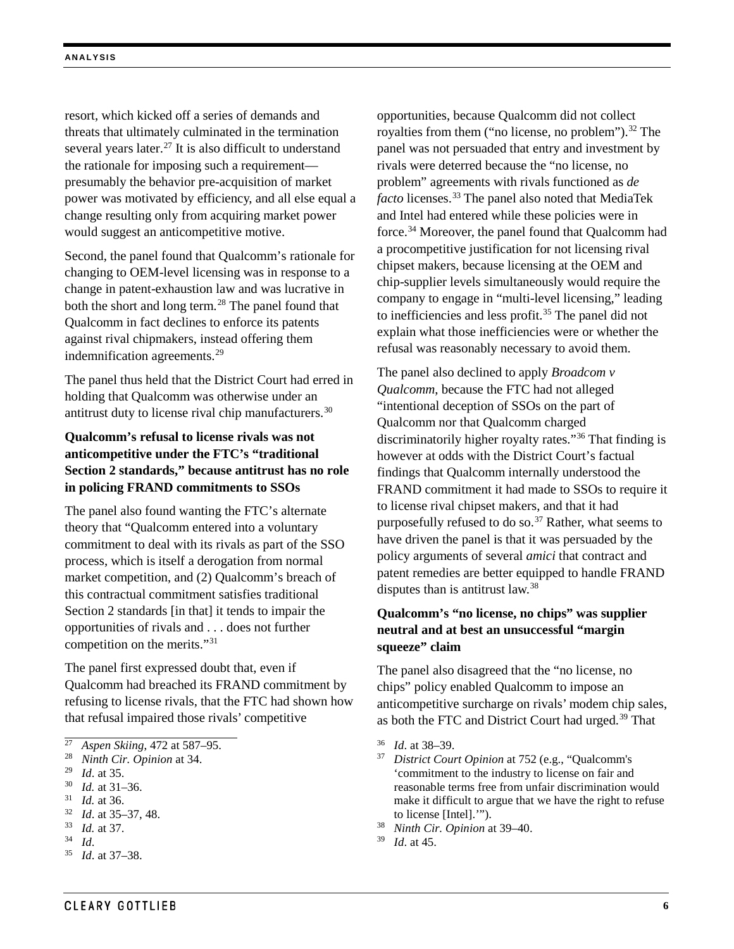resort, which kicked off a series of demands and threats that ultimately culminated in the termination several years later.<sup>[27](#page-5-0)</sup> It is also difficult to understand the rationale for imposing such a requirement presumably the behavior pre-acquisition of market power was motivated by efficiency, and all else equal a change resulting only from acquiring market power would suggest an anticompetitive motive.

Second, the panel found that Qualcomm's rationale for changing to OEM-level licensing was in response to a change in patent-exhaustion law and was lucrative in both the short and long term.<sup>[28](#page-5-1)</sup> The panel found that Qualcomm in fact declines to enforce its patents against rival chipmakers, instead offering them indemnification agreements.[29](#page-5-2)

The panel thus held that the District Court had erred in holding that Qualcomm was otherwise under an antitrust duty to license rival chip manufacturers[.30](#page-5-3)

## **Qualcomm's refusal to license rivals was not anticompetitive under the FTC's "traditional Section 2 standards," because antitrust has no role in policing FRAND commitments to SSOs**

The panel also found wanting the FTC's alternate theory that "Qualcomm entered into a voluntary commitment to deal with its rivals as part of the SSO process, which is itself a derogation from normal market competition, and (2) Qualcomm's breach of this contractual commitment satisfies traditional Section 2 standards [in that] it tends to impair the opportunities of rivals and . . . does not further competition on the merits."[31](#page-5-4)

The panel first expressed doubt that, even if Qualcomm had breached its FRAND commitment by refusing to license rivals, that the FTC had shown how that refusal impaired those rivals' competitive

opportunities, because Qualcomm did not collect royalties from them ("no license, no problem").<sup>[32](#page-5-5)</sup> The panel was not persuaded that entry and investment by rivals were deterred because the "no license, no problem" agreements with rivals functioned as *de facto* licenses.[33](#page-5-6) The panel also noted that MediaTek and Intel had entered while these policies were in force[.34](#page-5-7) Moreover, the panel found that Qualcomm had a procompetitive justification for not licensing rival chipset makers, because licensing at the OEM and chip-supplier levels simultaneously would require the company to engage in "multi-level licensing," leading to inefficiencies and less profit.<sup>[35](#page-5-8)</sup> The panel did not explain what those inefficiencies were or whether the refusal was reasonably necessary to avoid them.

The panel also declined to apply *Broadcom v Qualcomm*, because the FTC had not alleged "intentional deception of SSOs on the part of Qualcomm nor that Qualcomm charged discriminatorily higher royalty rates."[36](#page-5-0) That finding is however at odds with the District Court's factual findings that Qualcomm internally understood the FRAND commitment it had made to SSOs to require it to license rival chipset makers, and that it had purposefully refused to do so.<sup>[37](#page-5-1)</sup> Rather, what seems to have driven the panel is that it was persuaded by the policy arguments of several *amici* that contract and patent remedies are better equipped to handle FRAND disputes than is antitrust law.[38](#page-5-6)

### **Qualcomm's "no license, no chips" was supplier neutral and at best an unsuccessful "margin squeeze" claim**

The panel also disagreed that the "no license, no chips" policy enabled Qualcomm to impose an anticompetitive surcharge on rivals' modem chip sales, as both the FTC and District Court had urged.<sup>[39](#page-5-7)</sup> That

- <sup>36</sup> *Id*. at 38–39.
- <sup>37</sup> *District Court Opinion* at 752 (e.g., "Qualcomm's 'commitment to the industry to license on fair and reasonable terms free from unfair discrimination would make it difficult to argue that we have the right to refuse to license [Intel].'").
- <sup>38</sup> *Ninth Cir. Opinion* at 39–40.
- <sup>39</sup> *Id*. at 45.

<span id="page-5-0"></span> $\overline{27}$ <sup>27</sup> *Aspen Skiing*, 472 at 587–95.

<span id="page-5-1"></span><sup>28</sup> *Ninth Cir. Opinion* at 34.

<span id="page-5-2"></span> $\frac{29}{30}$  *Id.* at 35.

*Id.* at 31–36.

<span id="page-5-4"></span><span id="page-5-3"></span><sup>31</sup> *Id.* at 36.

<span id="page-5-5"></span><sup>32</sup> *Id*. at 35–37, 48.

<span id="page-5-6"></span><sup>33</sup> *Id.* at 37.

<span id="page-5-8"></span><span id="page-5-7"></span> $rac{34}{35}$  *Id.* 

<sup>35</sup> *Id*. at 37–38.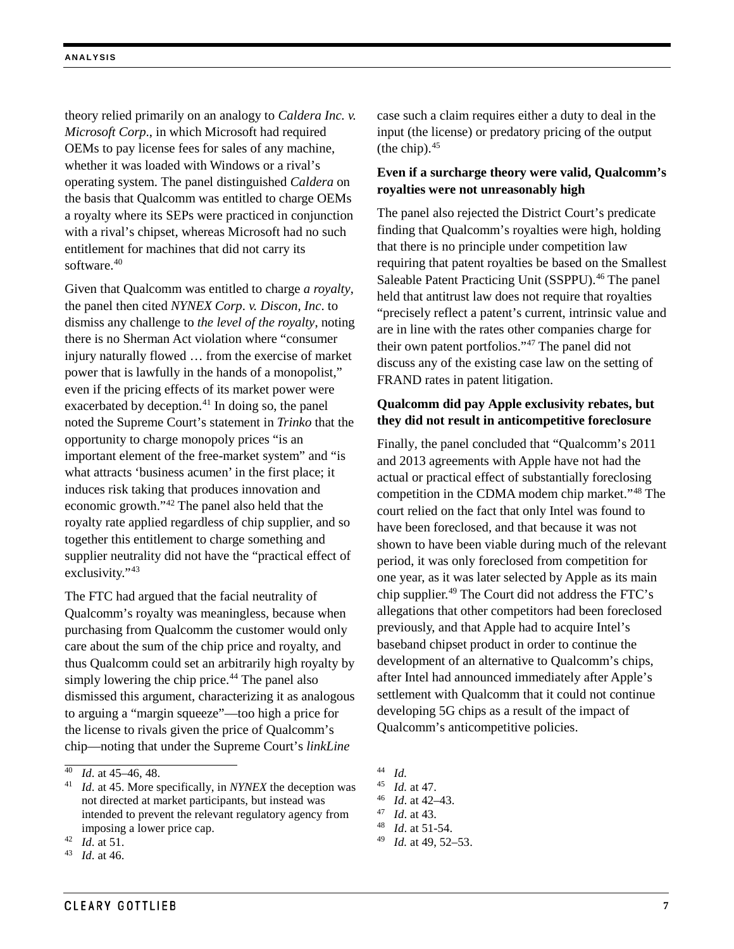theory relied primarily on an analogy to *Caldera Inc. v. Microsoft Corp*., in which Microsoft had required OEMs to pay license fees for sales of any machine, whether it was loaded with Windows or a rival's operating system. The panel distinguished *Caldera* on the basis that Qualcomm was entitled to charge OEMs a royalty where its SEPs were practiced in conjunction with a rival's chipset, whereas Microsoft had no such entitlement for machines that did not carry its software.<sup>[40](#page-6-0)</sup>

Given that Qualcomm was entitled to charge *a royalty*, the panel then cited *NYNEX Corp*. *v. Discon, Inc*. to dismiss any challenge to *the level of the royalty*, noting there is no Sherman Act violation where "consumer injury naturally flowed … from the exercise of market power that is lawfully in the hands of a monopolist," even if the pricing effects of its market power were exacerbated by deception. $41$  In doing so, the panel noted the Supreme Court's statement in *Trinko* that the opportunity to charge monopoly prices "is an important element of the free-market system" and "is what attracts 'business acumen' in the first place; it induces risk taking that produces innovation and economic growth."[42](#page-6-2) The panel also held that the royalty rate applied regardless of chip supplier, and so together this entitlement to charge something and supplier neutrality did not have the "practical effect of exclusivity."<sup>[43](#page-6-3)</sup>

The FTC had argued that the facial neutrality of Qualcomm's royalty was meaningless, because when purchasing from Qualcomm the customer would only care about the sum of the chip price and royalty, and thus Qualcomm could set an arbitrarily high royalty by simply lowering the chip price. $44$  The panel also dismissed this argument, characterizing it as analogous to arguing a "margin squeeze"—too high a price for the license to rivals given the price of Qualcomm's chip—noting that under the Supreme Court's *linkLine*

case such a claim requires either a duty to deal in the input (the license) or predatory pricing of the output (the chip). [45](#page-6-1)

#### **Even if a surcharge theory were valid, Qualcomm's royalties were not unreasonably high**

The panel also rejected the District Court's predicate finding that Qualcomm's royalties were high, holding that there is no principle under competition law requiring that patent royalties be based on the Smallest Saleable Patent Practicing Unit (SSPPU).<sup>[46](#page-6-4)</sup> The panel held that antitrust law does not require that royalties "precisely reflect a patent's current, intrinsic value and are in line with the rates other companies charge for their own patent portfolios."[47](#page-6-5) The panel did not discuss any of the existing case law on the setting of FRAND rates in patent litigation.

### **Qualcomm did pay Apple exclusivity rebates, but they did not result in anticompetitive foreclosure**

Finally, the panel concluded that "Qualcomm's 2011 and 2013 agreements with Apple have not had the actual or practical effect of substantially foreclosing competition in the CDMA modem chip market."[48](#page-6-6) The court relied on the fact that only Intel was found to have been foreclosed, and that because it was not shown to have been viable during much of the relevant period, it was only foreclosed from competition for one year, as it was later selected by Apple as its main chip supplier[.49](#page-6-2) The Court did not address the FTC's allegations that other competitors had been foreclosed previously, and that Apple had to acquire Intel's baseband chipset product in order to continue the development of an alternative to Qualcomm's chips, after Intel had announced immediately after Apple's settlement with Qualcomm that it could not continue developing 5G chips as a result of the impact of Qualcomm's anticompetitive policies.

<span id="page-6-0"></span>*Id.* at 45–46, 48.

<span id="page-6-4"></span><span id="page-6-1"></span><sup>41</sup> *Id*. at 45. More specifically, in *NYNEX* the deception was not directed at market participants, but instead was intended to prevent the relevant regulatory agency from imposing a lower price cap.

<span id="page-6-6"></span><span id="page-6-5"></span><span id="page-6-2"></span> $\frac{42}{43}$  *Id.* at 51.

<span id="page-6-3"></span>*Id.* at 46.

<sup>44</sup> *Id.*

<sup>45</sup> *Id.* at 47.

<sup>46</sup> *Id*. at 42–43.

<sup>47</sup> *Id*. at 43.

<sup>48</sup> *Id*. at 51-54.

<sup>49</sup> *Id.* at 49, 52–53.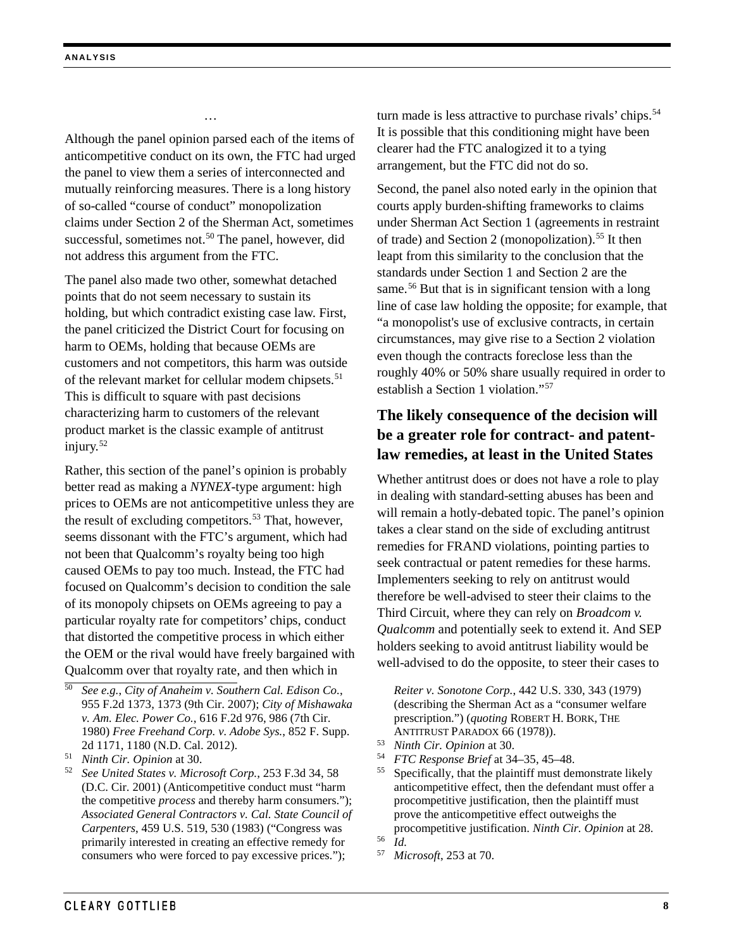Although the panel opinion parsed each of the items of anticompetitive conduct on its own, the FTC had urged the panel to view them a series of interconnected and mutually reinforcing measures. There is a long history of so-called "course of conduct" monopolization claims under Section 2 of the Sherman Act, sometimes successful, sometimes not.<sup>[50](#page-7-0)</sup> The panel, however, did not address this argument from the FTC.

…

The panel also made two other, somewhat detached points that do not seem necessary to sustain its holding, but which contradict existing case law. First, the panel criticized the District Court for focusing on harm to OEMs, holding that because OEMs are customers and not competitors, this harm was outside of the relevant market for cellular modem chipsets.<sup>[51](#page-7-1)</sup> This is difficult to square with past decisions characterizing harm to customers of the relevant product market is the classic example of antitrust injury.[52](#page-7-2)

Rather, this section of the panel's opinion is probably better read as making a *NYNEX*-type argument: high prices to OEMs are not anticompetitive unless they are the result of excluding competitors.<sup>[53](#page-7-3)</sup> That, however, seems dissonant with the FTC's argument, which had not been that Qualcomm's royalty being too high caused OEMs to pay too much. Instead, the FTC had focused on Qualcomm's decision to condition the sale of its monopoly chipsets on OEMs agreeing to pay a particular royalty rate for competitors' chips, conduct that distorted the competitive process in which either the OEM or the rival would have freely bargained with Qualcomm over that royalty rate, and then which in

turn made is less attractive to purchase rivals' chips.<sup>[54](#page-7-1)</sup> It is possible that this conditioning might have been clearer had the FTC analogized it to a tying arrangement, but the FTC did not do so.

Second, the panel also noted early in the opinion that courts apply burden-shifting frameworks to claims under Sherman Act Section 1 (agreements in restraint of trade) and Section 2 (monopolization).[55](#page-7-2) It then leapt from this similarity to the conclusion that the standards under Section 1 and Section 2 are the same.<sup>[56](#page-7-4)</sup> But that is in significant tension with a long line of case law holding the opposite; for example, that "a monopolist's use of exclusive contracts, in certain circumstances, may give rise to a Section 2 violation even though the contracts foreclose less than the roughly 40% or 50% share usually required in order to establish a Section 1 violation."[57](#page-7-5)

## **The likely consequence of the decision will be a greater role for contract- and patentlaw remedies, at least in the United States**

Whether antitrust does or does not have a role to play in dealing with standard-setting abuses has been and will remain a hotly-debated topic. The panel's opinion takes a clear stand on the side of excluding antitrust remedies for FRAND violations, pointing parties to seek contractual or patent remedies for these harms. Implementers seeking to rely on antitrust would therefore be well-advised to steer their claims to the Third Circuit, where they can rely on *Broadcom v. Qualcomm* and potentially seek to extend it. And SEP holders seeking to avoid antitrust liability would be well-advised to do the opposite, to steer their cases to

*Reiter v. Sonotone Corp.*, 442 U.S. 330, 343 (1979) (describing the Sherman Act as a "consumer welfare prescription.") (*quoting* ROBERT H. BORK, THE

- ANTITRUST PARADOX 66 (1978)). 53 *Ninth Cir. Opinion* at 30.
- <sup>54</sup> *FTC Response Brief* at 34–35, 45–48.

<sup>55</sup> Specifically, that the plaintiff must demonstrate likely anticompetitive effect, then the defendant must offer a procompetitive justification, then the plaintiff must prove the anticompetitive effect outweighs the procompetitive justification. *Ninth Cir. Opinion* at 28.  $\frac{56}{57}$  *Id.* 

<sup>57</sup> *Microsoft*, 253 at 70.

<span id="page-7-0"></span><sup>50</sup> *See e.g.*, *City of Anaheim v. Southern Cal. Edison Co.*, 955 F.2d 1373, 1373 (9th Cir. 2007); *City of Mishawaka v. Am. Elec. Power Co.*, 616 F.2d 976, 986 (7th Cir. 1980) *Free Freehand Corp. v. Adobe Sys.*, 852 F. Supp. 2d 1171, 1180 (N.D. Cal. 2012).

<span id="page-7-3"></span><span id="page-7-1"></span><sup>51</sup> *Ninth Cir. Opinion* at 30.

<span id="page-7-5"></span><span id="page-7-4"></span><span id="page-7-2"></span><sup>52</sup> *See United States v. Microsoft Corp.*, 253 F.3d 34, 58 (D.C. Cir. 2001) (Anticompetitive conduct must "harm the competitive *process* and thereby harm consumers."); *Associated General Contractors v. Cal. State Council of Carpenters*, 459 U.S. 519, 530 (1983) ("Congress was primarily interested in creating an effective remedy for consumers who were forced to pay excessive prices.");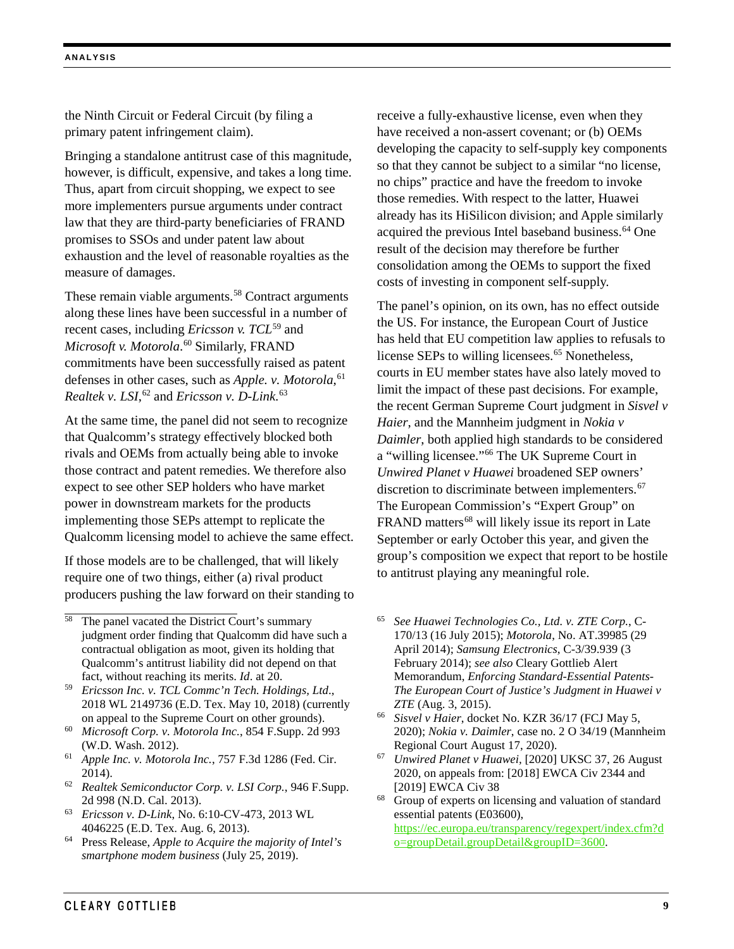the Ninth Circuit or Federal Circuit (by filing a primary patent infringement claim).

Bringing a standalone antitrust case of this magnitude, however, is difficult, expensive, and takes a long time. Thus, apart from circuit shopping, we expect to see more implementers pursue arguments under contract law that they are third-party beneficiaries of FRAND promises to SSOs and under patent law about exhaustion and the level of reasonable royalties as the measure of damages.

These remain viable arguments.<sup>[58](#page-8-0)</sup> Contract arguments along these lines have been successful in a number of recent cases, including *Ericsson v. TCL*[59](#page-8-1) and *Microsoft v. Motorola*. [60](#page-8-2) Similarly, FRAND commitments have been successfully raised as patent defenses in other cases, such as *Apple. v. Motorola*, [61](#page-8-3) *Realtek v. LSI*, [62](#page-8-4) and *Ericsson v. D-Link*. [63](#page-8-5)

At the same time, the panel did not seem to recognize that Qualcomm's strategy effectively blocked both rivals and OEMs from actually being able to invoke those contract and patent remedies. We therefore also expect to see other SEP holders who have market power in downstream markets for the products implementing those SEPs attempt to replicate the Qualcomm licensing model to achieve the same effect.

If those models are to be challenged, that will likely require one of two things, either (a) rival product producers pushing the law forward on their standing to

- <span id="page-8-1"></span><sup>59</sup> *Ericsson Inc. v. TCL Commc'n Tech. Holdings, Ltd*., 2018 WL 2149736 (E.D. Tex. May 10, 2018) (currently on appeal to the Supreme Court on other grounds).
- <span id="page-8-7"></span><span id="page-8-2"></span><sup>60</sup> *Microsoft Corp. v. Motorola Inc.*, 854 F.Supp. 2d 993 (W.D. Wash. 2012).
- <span id="page-8-3"></span><sup>61</sup> *Apple Inc. v. Motorola Inc.*, 757 F.3d 1286 (Fed. Cir. 2014).
- <span id="page-8-4"></span><sup>62</sup> *Realtek Semiconductor Corp. v. LSI Corp.*, 946 F.Supp. 2d 998 (N.D. Cal. 2013).

<span id="page-8-8"></span><span id="page-8-5"></span><sup>63</sup> *Ericsson v. D-Link*, No. 6:10-CV-473, 2013 WL 4046225 (E.D. Tex. Aug. 6, 2013).

<span id="page-8-6"></span><sup>64</sup> Press Release, *Apple to Acquire the majority of Intel's smartphone modem business* (July 25, 2019).

receive a fully-exhaustive license, even when they have received a non-assert covenant; or (b) OEMs developing the capacity to self-supply key components so that they cannot be subject to a similar "no license, no chips" practice and have the freedom to invoke those remedies. With respect to the latter, Huawei already has its HiSilicon division; and Apple similarly acquired the previous Intel baseband business.<sup>[64](#page-8-6)</sup> One result of the decision may therefore be further consolidation among the OEMs to support the fixed costs of investing in component self-supply.

The panel's opinion, on its own, has no effect outside the US. For instance, the European Court of Justice has held that EU competition law applies to refusals to license SEPs to willing licensees.<sup>[65](#page-8-0)</sup> Nonetheless, courts in EU member states have also lately moved to limit the impact of these past decisions. For example, the recent German Supreme Court judgment in *Sisvel v Haier*, and the Mannheim judgment in *Nokia v Daimler*, both applied high standards to be considered a "willing licensee."[66](#page-8-7) The UK Supreme Court in *Unwired Planet v Huawei* broadened SEP owners' discretion to discriminate between implementers.<sup>[67](#page-8-3)</sup> The European Commission's "Expert Group" on FRAND matters<sup>[68](#page-8-8)</sup> will likely issue its report in Late September or early October this year, and given the group's composition we expect that report to be hostile to antitrust playing any meaningful role.

- <sup>65</sup> *See Huawei Technologies Co., Ltd. v. ZTE Corp.*, C-170/13 (16 July 2015); *Motorola*, No. AT.39985 (29 April 2014); *Samsung Electronics*, C-3/39.939 (3 February 2014); *see also* Cleary Gottlieb Alert Memorandum, *Enforcing Standard-Essential Patents-The European Court of Justice's Judgment in Huawei v ZTE* (Aug. 3, 2015).
- <sup>66</sup> *Sisvel v Haier*, docket No. KZR 36/17 (FCJ May 5, 2020); *Nokia v. Daimler*, case no. 2 O 34/19 (Mannheim Regional Court August 17, 2020).
- <sup>67</sup> *Unwired Planet v Huawei,* [2020] UKSC 37, 26 August 2020, on appeals from: [2018] EWCA Civ 2344 and [2019] EWCA Civ 38

<sup>68</sup> Group of experts on licensing and valuation of standard essential patents (E03600),

[https://ec.europa.eu/transparency/regexpert/index.cfm?d](https://ec.europa.eu/transparency/regexpert/index.cfm?do=groupDetail.groupDetail&groupID=3600) [o=groupDetail.groupDetail&groupID=3600.](https://ec.europa.eu/transparency/regexpert/index.cfm?do=groupDetail.groupDetail&groupID=3600)

<span id="page-8-0"></span>The panel vacated the District Court's summary judgment order finding that Qualcomm did have such a contractual obligation as moot, given its holding that Qualcomm's antitrust liability did not depend on that fact, without reaching its merits. *Id*. at 20.